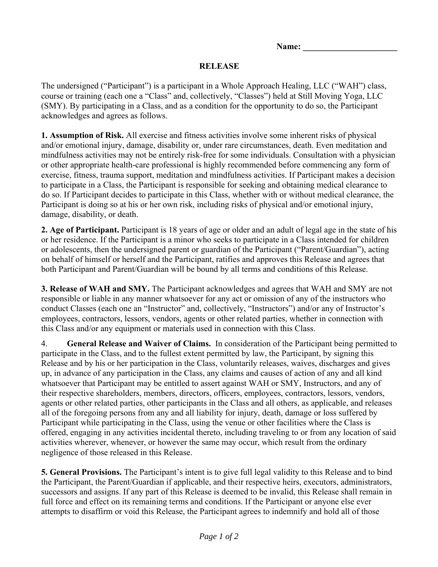Name:

## **RELEASE**

The undersigned ("Participant") is a participant in a Whole Approach Healing, LLC ("WAH") class, course or training (each one a "Class" and, collectively, "Classes") held at Still Moving Yoga, LLC (SMY). By participating in a Class, and as a condition for the opportunity to do so, the Participant acknowledges and agrees as follows.

**1. Assumption of Risk.** All exercise and fitness activities involve some inherent risks of physical and/or emotional injury, damage, disability or, under rare circumstances, death. Even meditation and mindfulness activities may not be entirely risk-free for some individuals. Consultation with a physician or other appropriate health-care professional is highly recommended before commencing any form of exercise, fitness, trauma support, meditation and mindfulness activities. If Participant makes a decision to participate in a Class, the Participant is responsible for seeking and obtaining medical clearance to do so. If Participant decides to participate in this Class, whether with or without medical clearance, the Participant is doing so at his or her own risk, including risks of physical and/or emotional injury, damage, disability, or death.

**2. Age of Participant.** Participant is 18 years of age or older and an adult of legal age in the state of his or her residence. If the Participant is a minor who seeks to participate in a Class intended for children or adolescents, then the undersigned parent or guardian of the Participant ("Parent/Guardian"), acting on behalf of himself or herself and the Participant, ratifies and approves this Release and agrees that both Participant and Parent/Guardian will be bound by all terms and conditions of this Release.

**3. Release of WAH and SMY.** The Participant acknowledges and agrees that WAH and SMY are not responsible or liable in any manner whatsoever for any act or omission of any of the instructors who conduct Classes (each one an "Instructor" and, collectively, "Instructors") and/or any of Instructor's employees, contractors, lessors, vendors, agents or other related parties, whether in connection with this Class and/or any equipment or materials used in connection with this Class.

4. **General Release and Waiver of Claims.** In consideration of the Participant being permitted to participate in the Class, and to the fullest extent permitted by law, the Participant, by signing this Release and by his or her participation in the Class, voluntarily releases, waives, discharges and gives up, in advance of any participation in the Class, any claims and causes of action of any and all kind whatsoever that Participant may be entitled to assert against WAH or SMY, Instructors, and any of their respective shareholders, members, directors, officers, employees, contractors, lessors, vendors, agents or other related parties, other participants in the Class and all others, as applicable, and releases all of the foregoing persons from any and all liability for injury, death, damage or loss suffered by Participant while participating in the Class, using the venue or other facilities where the Class is offered, engaging in any activities incidental thereto, including traveling to or from any location of said activities wherever, whenever, or however the same may occur, which result from the ordinary negligence of those released in this Release.

**5. General Provisions.** The Participant's intent is to give full legal validity to this Release and to bind the Participant, the Parent/Guardian if applicable, and their respective heirs, executors, administrators, successors and assigns. If any part of this Release is deemed to be invalid, this Release shall remain in full force and effect on its remaining terms and conditions. If the Participant or anyone else ever attempts to disaffirm or void this Release, the Participant agrees to indemnify and hold all of those